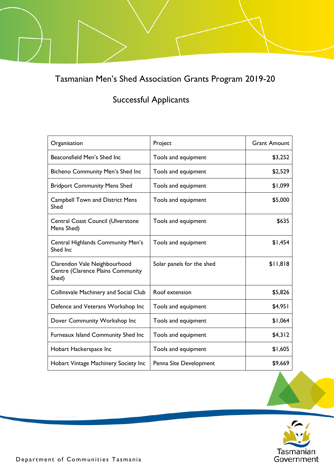Tasmanian Men's Shed Association Grants Program 2019-20

## Successful Applicants

| Organisation                                                               | Project                   | <b>Grant Amount</b> |
|----------------------------------------------------------------------------|---------------------------|---------------------|
| Beaconsfield Men's Shed Inc                                                | Tools and equipment       | \$3,252             |
| <b>Bicheno Community Men's Shed Inc</b>                                    | Tools and equipment       | \$2,529             |
| <b>Bridport Community Mens Shed</b>                                        | Tools and equipment       | \$1,099             |
| <b>Campbell Town and District Mens</b><br>Shed                             | Tools and equipment       | \$5,000             |
| <b>Central Coast Council (Ulverstone</b><br>Mens Shed)                     | Tools and equipment       | \$635               |
| Central Highlands Community Men's<br>Shed Inc                              | Tools and equipment       | \$1,454             |
| Clarendon Vale Neighbourhood<br>Centre (Clarence Plains Community<br>Shed) | Solar panels for the shed | \$11,818            |
| <b>Collinsvale Machinery and Social Club</b>                               | Roof extension            | \$5,826             |
| Defence and Veterans Workshop Inc                                          | Tools and equipment       | \$4,951             |
| Dover Community Workshop Inc                                               | Tools and equipment       | \$1,064             |
| Furneaux Island Community Shed Inc                                         | Tools and equipment       | \$4,312             |
| Hobart Hackerspace Inc                                                     | Tools and equipment       | \$1,605             |
| Hobart Vintage Machinery Society Inc                                       | Penna Site Development    | \$9,669             |